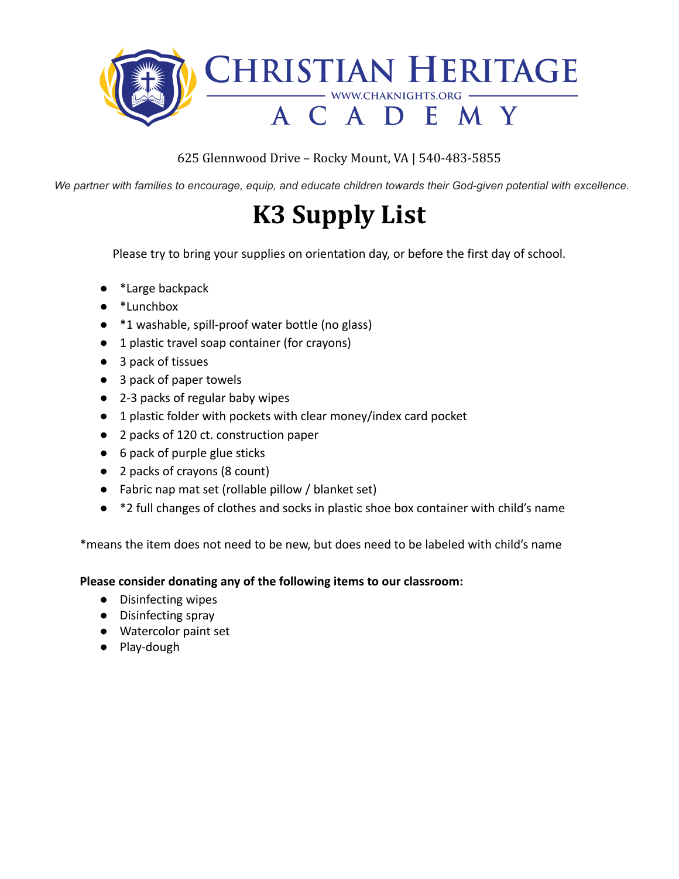

We partner with families to encourage, equip, and educate children towards their God-given potential with excellence.

## **K3 Supply List**

Please try to bring your supplies on orientation day, or before the first day of school.

- \*Large backpack
- \*Lunchbox
- \*1 washable, spill-proof water bottle (no glass)
- 1 plastic travel soap container (for crayons)
- 3 pack of tissues
- 3 pack of paper towels
- 2-3 packs of regular baby wipes
- 1 plastic folder with pockets with clear money/index card pocket
- 2 packs of 120 ct. construction paper
- 6 pack of purple glue sticks
- 2 packs of crayons (8 count)
- Fabric nap mat set (rollable pillow / blanket set)
- <sup>\*</sup>2 full changes of clothes and socks in plastic shoe box container with child's name

\*means the item does not need to be new, but does need to be labeled with child's name

#### **Please consider donating any of the following items to our classroom:**

- Disinfecting wipes
- Disinfecting spray
- Watercolor paint set
- Play-dough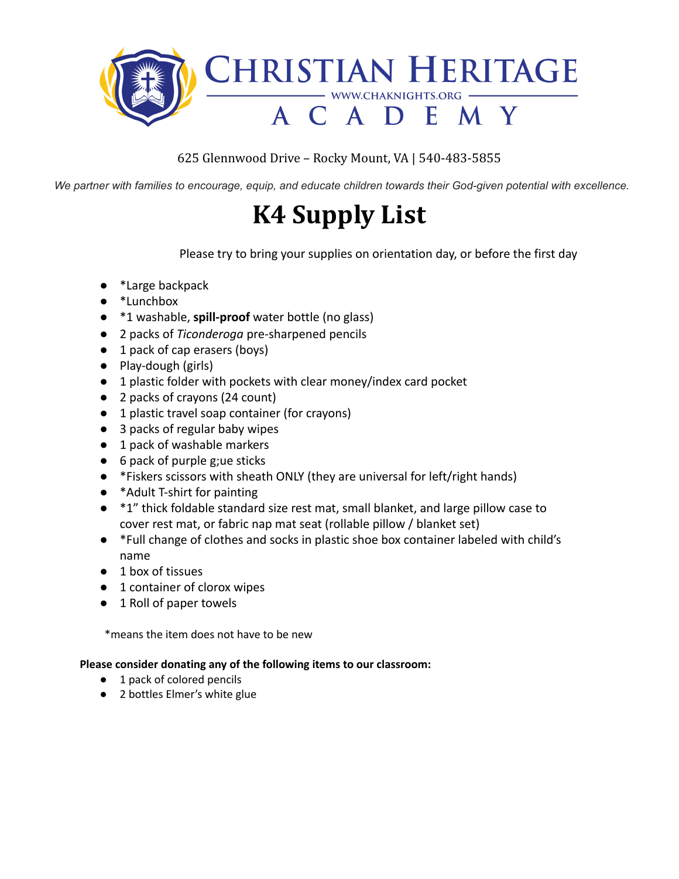

We partner with families to encourage, equip, and educate children towards their God-given potential with excellence.

## **K4 Supply List**

Please try to bring your supplies on orientation day, or before the first day

- \*Large backpack
- \*Lunchbox
- \*1 washable, **spill-proof** water bottle (no glass)
- 2 packs of *Ticonderoga* pre-sharpened pencils
- 1 pack of cap erasers (boys)
- Play-dough (girls)
- 1 plastic folder with pockets with clear money/index card pocket
- 2 packs of crayons (24 count)
- 1 plastic travel soap container (for crayons)
- 3 packs of regular baby wipes
- 1 pack of washable markers
- $\bullet$  6 pack of purple g; ue sticks
- \*Fiskers scissors with sheath ONLY (they are universal for left/right hands)
- \*Adult T-shirt for painting
- $\bullet$  \*1" thick foldable standard size rest mat, small blanket, and large pillow case to cover rest mat, or fabric nap mat seat (rollable pillow / blanket set)
- \*Full change of clothes and socks in plastic shoe box container labeled with child's name
- 1 box of tissues
- 1 container of clorox wipes
- 1 Roll of paper towels

\*means the item does not have to be new

#### **Please consider donating any of the following items to our classroom:**

- 1 pack of colored pencils
- 2 bottles Elmer's white glue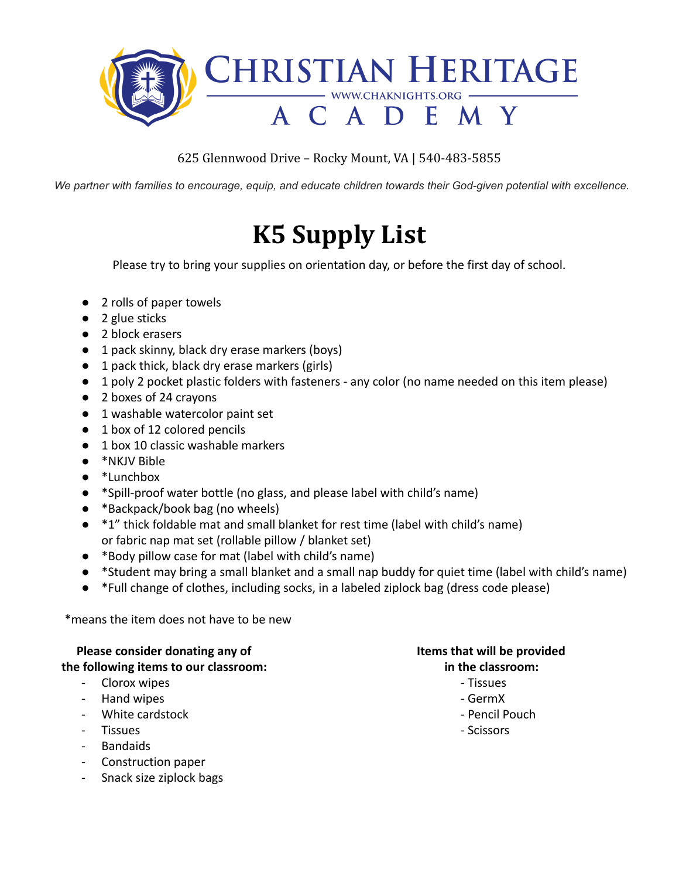

We partner with families to encourage, equip, and educate children towards their God-given potential with excellence.

# **K5 Supply List**

Please try to bring your supplies on orientation day, or before the first day of school.

- 2 rolls of paper towels
- 2 glue sticks
- 2 block erasers
- 1 pack skinny, black dry erase markers (boys)
- 1 pack thick, black dry erase markers (girls)
- 1 poly 2 pocket plastic folders with fasteners any color (no name needed on this item please)
- 2 boxes of 24 crayons
- 1 washable watercolor paint set
- 1 box of 12 colored pencils
- 1 box 10 classic washable markers
- \*NKJV Bible
- \*Lunchbox
- \*Spill-proof water bottle (no glass, and please label with child's name)
- \*Backpack/book bag (no wheels)
- \*1" thick foldable mat and small blanket for rest time (label with child's name) or fabric nap mat set (rollable pillow / blanket set)
- \*Body pillow case for mat (label with child's name)
- \*Student may bring a small blanket and a small nap buddy for quiet time (label with child's name)
- \*Full change of clothes, including socks, in a labeled ziplock bag (dress code please)

\*means the item does not have to be new

### **Please consider donating any of Items that will be provided**

- Clorox wipes Tissues Tissues Tissues Tissues Tissues Tissues Tissues Tissues Tissues Tissues Tissues Tissues Tissues Tissues Tissues Tissues Tissues Tissues Tissues Tissues Tissu
- Hand wipes  **GermX**
- White cardstock **All and Structure Control** Pencil Pouch
- Tissues Scissors Scissors Scissors Scissors Scissors Scissors Scissors Scissors Scissors -
- Bandaids
- Construction paper
- Snack size ziplock bags

### **the following items to our classroom: in the classroom:**

- 
- 
- 
-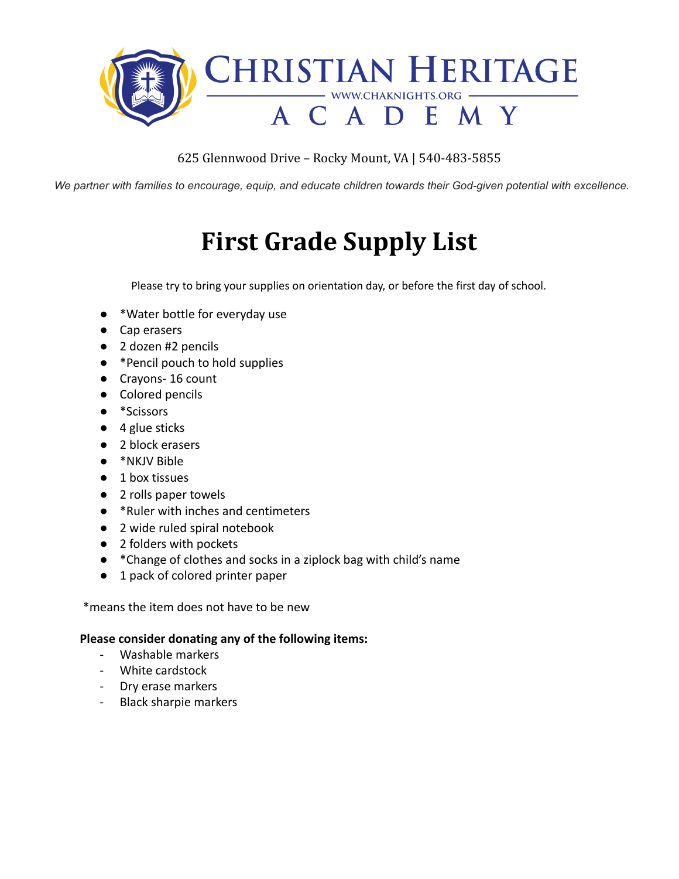

We partner with families to encourage, equip, and educate children towards their God-given potential with excellence.

# **First Grade Supply List**

Please try to bring your supplies on orientation day, or before the first day of school.

- \*Water bottle for everyday use
- Cap erasers
- 2 dozen #2 pencils
- \*Pencil pouch to hold supplies
- Crayons- 16 count
- Colored pencils
- \*Scissors
- $\bullet$  4 glue sticks
- 2 block erasers
- \*NKJV Bible
- 1 box tissues
- 2 rolls paper towels
- \*Ruler with inches and centimeters
- 2 wide ruled spiral notebook
- 2 folders with pockets
- \*Change of clothes and socks in a ziplock bag with child's name
- 1 pack of colored printer paper

\*means the item does not have to be new

#### **Please consider donating any of the following items:**

- Washable markers
- White cardstock
- Dry erase markers
- Black sharpie markers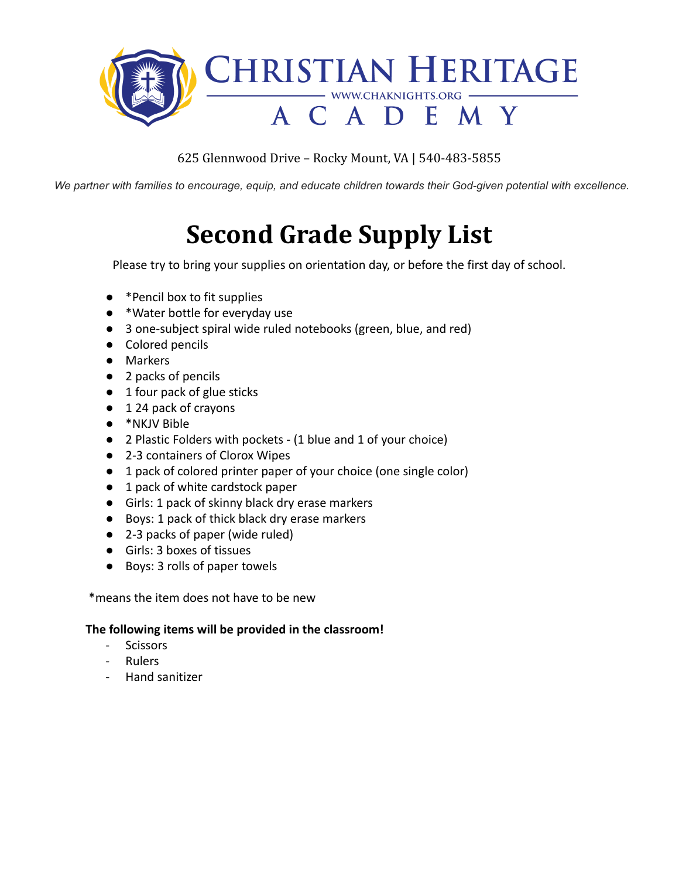

We partner with families to encourage, equip, and educate children towards their God-given potential with excellence.

# **Second Grade Supply List**

Please try to bring your supplies on orientation day, or before the first day of school.

- \*Pencil box to fit supplies
- \*Water bottle for everyday use
- 3 one-subject spiral wide ruled notebooks (green, blue, and red)
- Colored pencils
- Markers
- 2 packs of pencils
- 1 four pack of glue sticks
- 1 24 pack of crayons
- \*NKJV Bible
- 2 Plastic Folders with pockets (1 blue and 1 of your choice)
- 2-3 containers of Clorox Wipes
- 1 pack of colored printer paper of your choice (one single color)
- 1 pack of white cardstock paper
- Girls: 1 pack of skinny black dry erase markers
- Boys: 1 pack of thick black dry erase markers
- 2-3 packs of paper (wide ruled)
- Girls: 3 boxes of tissues
- Boys: 3 rolls of paper towels

\*means the item does not have to be new

#### **The following items will be provided in the classroom!**

- **Scissors**
- Rulers
- Hand sanitizer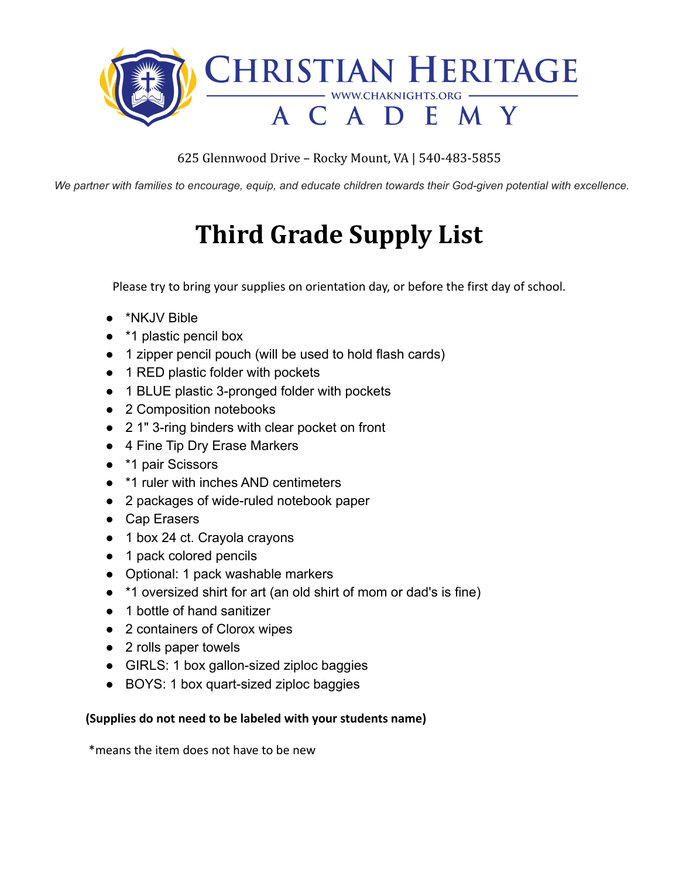

We partner with families to encourage, equip, and educate children towards their God-given potential with excellence.

# **Third Grade Supply List**

Please try to bring your supplies on orientation day, or before the first day of school.

- \*NKJV Bible
- \*1 plastic pencil box
- 1 zipper pencil pouch (will be used to hold flash cards)
- 1 RED plastic folder with pockets
- 1 BLUE plastic 3-pronged folder with pockets
- 2 Composition notebooks
- 2 1" 3-ring binders with clear pocket on front
- 4 Fine Tip Dry Erase Markers
- \*1 pair Scissors
- \*1 ruler with inches AND centimeters
- 2 packages of wide-ruled notebook paper
- Cap Erasers
- 1 box 24 ct. Crayola crayons
- 1 pack colored pencils
- Optional: 1 pack washable markers
- \*1 oversized shirt for art (an old shirt of mom or dad's is fine)
- 1 bottle of hand sanitizer
- 2 containers of Clorox wipes
- 2 rolls paper towels
- GIRLS: 1 box gallon-sized ziploc baggies
- BOYS: 1 box quart-sized ziploc baggies

#### **(Supplies do not need to be labeled with your students name)**

\*means the item does not have to be new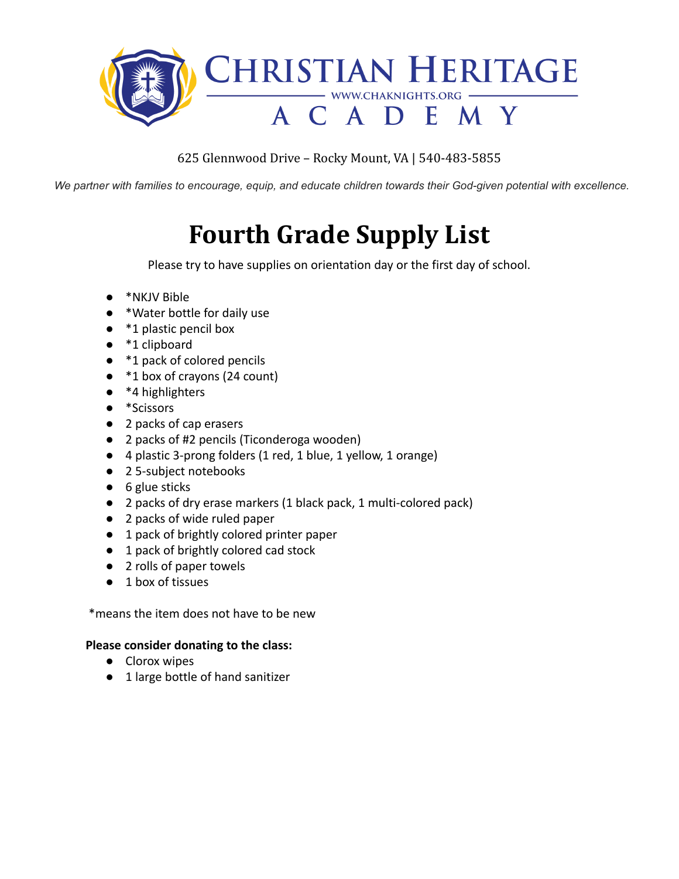

We partner with families to encourage, equip, and educate children towards their God-given potential with excellence.

# **Fourth Grade Supply List**

Please try to have supplies on orientation day or the first day of school.

- \*NKJV Bible
- \*Water bottle for daily use
- \*1 plastic pencil box
- \*1 clipboard
- \*1 pack of colored pencils
- \*1 box of crayons (24 count)
- $\bullet$  \*4 highlighters
- \*Scissors
- 2 packs of cap erasers
- 2 packs of #2 pencils (Ticonderoga wooden)
- 4 plastic 3-prong folders (1 red, 1 blue, 1 yellow, 1 orange)
- 25-subject notebooks
- 6 glue sticks
- 2 packs of dry erase markers (1 black pack, 1 multi-colored pack)
- 2 packs of wide ruled paper
- 1 pack of brightly colored printer paper
- 1 pack of brightly colored cad stock
- 2 rolls of paper towels
- 1 box of tissues

\*means the item does not have to be new

#### **Please consider donating to the class:**

- Clorox wipes
- 1 large bottle of hand sanitizer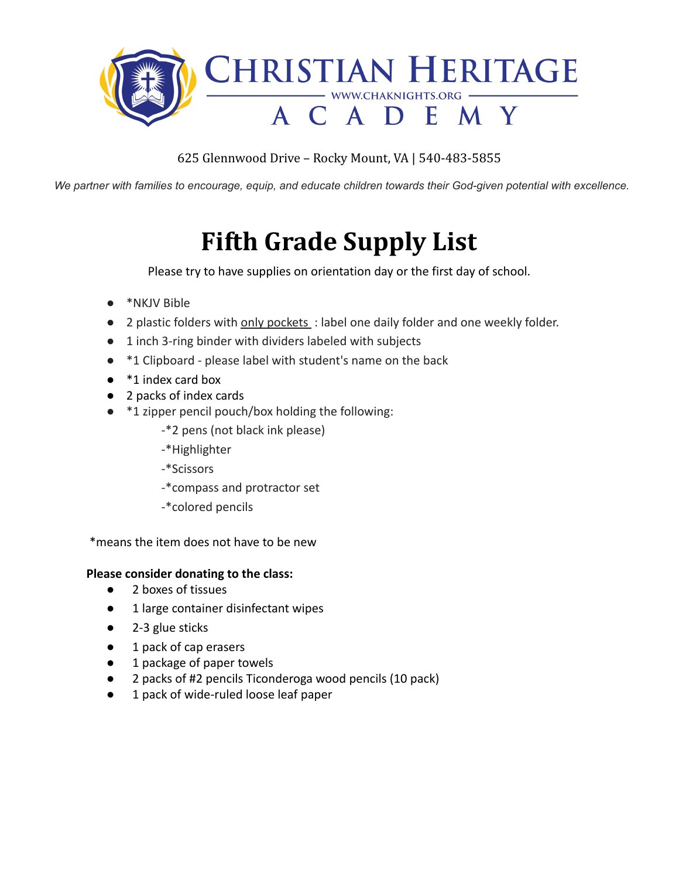

We partner with families to encourage, equip, and educate children towards their God-given potential with excellence.

## **Fifth Grade Supply List**

Please try to have supplies on orientation day or the first day of school.

- \*NKJV Bible
- 2 plastic folders with only pockets : label one daily folder and one weekly folder.
- 1 inch 3-ring binder with dividers labeled with subjects
- \*1 Clipboard please label with student's name on the back
- <sup>\*</sup>1 index card box
- 2 packs of index cards
- \*1 zipper pencil pouch/box holding the following:
	- -\*2 pens (not black ink please)
	- -\*Highlighter
	- -\*Scissors
	- -\*compass and protractor set
	- -\*colored pencils

\*means the item does not have to be new

#### **Please consider donating to the class:**

- **●** 2 boxes of tissues
- 1 large container disinfectant wipes
- 2-3 glue sticks
- 1 pack of cap erasers
- 1 package of paper towels
- 2 packs of #2 pencils Ticonderoga wood pencils (10 pack)
- 1 pack of wide-ruled loose leaf paper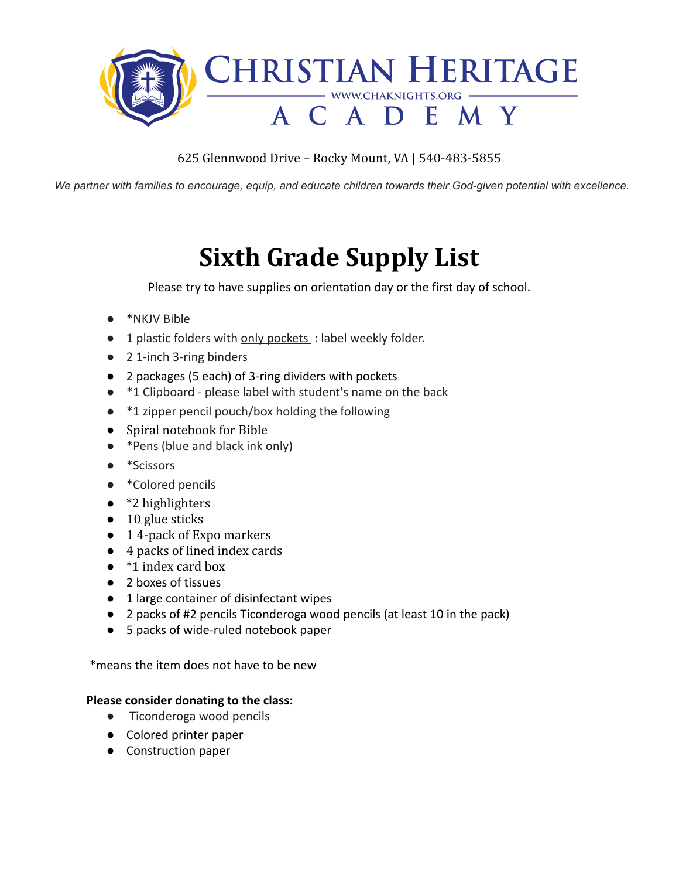

We partner with families to encourage, equip, and educate children towards their God-given potential with excellence.

## **Sixth Grade Supply List**

Please try to have supplies on orientation day or the first day of school.

- \*NKJV Bible
- 1 plastic folders with only pockets : label weekly folder.
- **●** 2 1-inch 3-ring binders
- 2 packages (5 each) of 3-ring dividers with pockets
- **●** \*1 Clipboard please label with student's name on the back
- **●** \*1 zipper pencil pouch/box holding the following
- Spiral notebook for Bible
- \*Pens (blue and black ink only)
- \*Scissors
- \*Colored pencils
- $\bullet$  \*2 highlighters
- $\bullet$  10 glue sticks
- 1 4-pack of Expo markers
- 4 packs of lined index cards
- \*1 index card box
- 2 boxes of tissues
- 1 large container of disinfectant wipes
- 2 packs of #2 pencils Ticonderoga wood pencils (at least 10 in the pack)
- 5 packs of wide-ruled notebook paper

\*means the item does not have to be new

#### **Please consider donating to the class:**

- **●** Ticonderoga wood pencils
- Colored printer paper
- Construction paper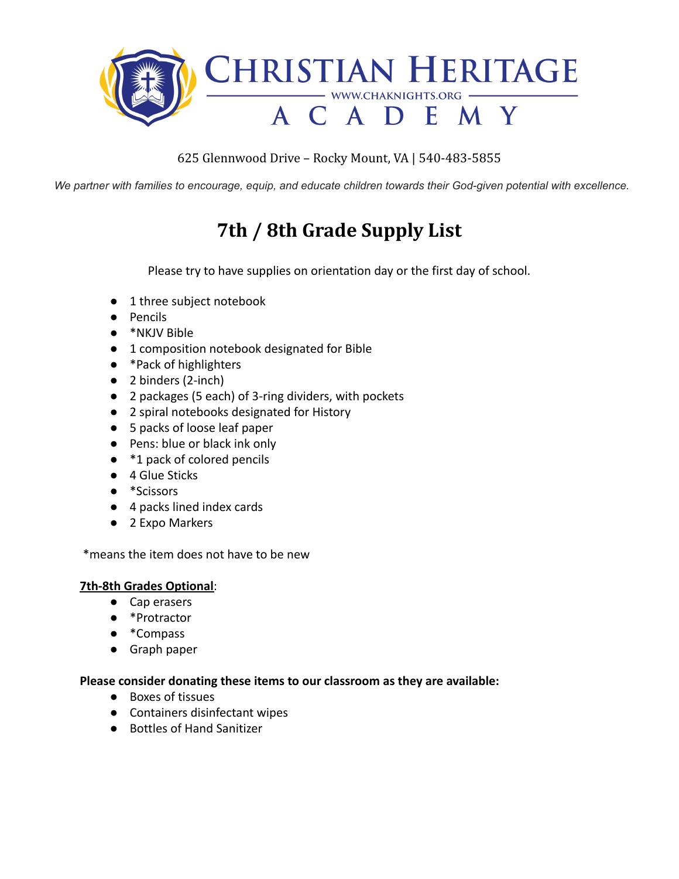

We partner with families to encourage, equip, and educate children towards their God-given potential with excellence.

### **7th / 8th Grade Supply List**

Please try to have supplies on orientation day or the first day of school.

- 1 three subject notebook
- Pencils
- \*NKJV Bible
- 1 composition notebook designated for Bible
- \*Pack of highlighters
- 2 binders (2-inch)
- 2 packages (5 each) of 3-ring dividers, with pockets
- 2 spiral notebooks designated for History
- 5 packs of loose leaf paper
- Pens: blue or black ink only
- \*1 pack of colored pencils
- 4 Glue Sticks
- \*Scissors
- 4 packs lined index cards
- 2 Expo Markers

\*means the item does not have to be new

#### **7th-8th Grades Optional**:

- Cap erasers
- \*Protractor
- \*Compass
- Graph paper

#### **Please consider donating these items to our classroom as they are available:**

- Boxes of tissues
- Containers disinfectant wipes
- Bottles of Hand Sanitizer